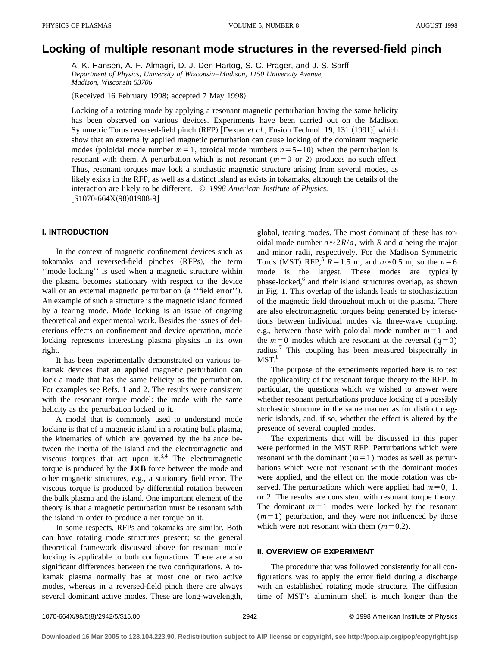# **Locking of multiple resonant mode structures in the reversed-field pinch**

A. K. Hansen, A. F. Almagri, D. J. Den Hartog, S. C. Prager, and J. S. Sarff *Department of Physics, University of Wisconsin*–*Madison, 1150 University Avenue, Madison, Wisconsin 53706*

(Received 16 February 1998; accepted 7 May 1998)

Locking of a rotating mode by applying a resonant magnetic perturbation having the same helicity has been observed on various devices. Experiments have been carried out on the Madison Symmetric Torus reversed-field pinch (RFP) [Dexter *et al.*, Fusion Technol. 19, 131 (1991)] which show that an externally applied magnetic perturbation can cause locking of the dominant magnetic modes (poloidal mode number  $m=1$ , toroidal mode numbers  $n=5-10$ ) when the perturbation is resonant with them. A perturbation which is not resonant  $(m=0 \text{ or } 2)$  produces no such effect. Thus, resonant torques may lock a stochastic magnetic structure arising from several modes, as likely exists in the RFP, as well as a distinct island as exists in tokamaks, although the details of the interaction are likely to be different. © *1998 American Institute of Physics.*  $[S1070-664X(98)01908-9]$ 

## **I. INTRODUCTION**

In the context of magnetic confinement devices such as tokamaks and reversed-field pinches (RFPs), the term ''mode locking'' is used when a magnetic structure within the plasma becomes stationary with respect to the device wall or an external magnetic perturbation (a "field error"). An example of such a structure is the magnetic island formed by a tearing mode. Mode locking is an issue of ongoing theoretical and experimental work. Besides the issues of deleterious effects on confinement and device operation, mode locking represents interesting plasma physics in its own right.

It has been experimentally demonstrated on various tokamak devices that an applied magnetic perturbation can lock a mode that has the same helicity as the perturbation. For examples see Refs. 1 and 2. The results were consistent with the resonant torque model: the mode with the same helicity as the perturbation locked to it.

A model that is commonly used to understand mode locking is that of a magnetic island in a rotating bulk plasma, the kinematics of which are governed by the balance between the inertia of the island and the electromagnetic and viscous torques that act upon it. $3,4$  The electromagnetic torque is produced by the  $J \times B$  force between the mode and other magnetic structures, e.g., a stationary field error. The viscous torque is produced by differential rotation between the bulk plasma and the island. One important element of the theory is that a magnetic perturbation must be resonant with the island in order to produce a net torque on it.

In some respects, RFPs and tokamaks are similar. Both can have rotating mode structures present; so the general theoretical framework discussed above for resonant mode locking is applicable to both configurations. There are also significant differences between the two configurations. A tokamak plasma normally has at most one or two active modes, whereas in a reversed-field pinch there are always several dominant active modes. These are long-wavelength, global, tearing modes. The most dominant of these has toroidal mode number  $n \approx 2R/a$ , with *R* and *a* being the major and minor radii, respectively. For the Madison Symmetric Torus (MST) RFP,<sup>5</sup>  $R=1.5$  m, and  $a \approx 0.5$  m, so the  $n=6$ mode is the largest. These modes are typically phase-locked,<sup>6</sup> and their island structures overlap, as shown in Fig. 1. This overlap of the islands leads to stochastization of the magnetic field throughout much of the plasma. There are also electromagnetic torques being generated by interactions between individual modes via three-wave coupling, e.g., between those with poloidal mode number  $m=1$  and the  $m=0$  modes which are resonant at the reversal ( $q=0$ ) radius.<sup>7</sup> This coupling has been measured bispectrally in  $MST.<sup>8</sup>$ 

The purpose of the experiments reported here is to test the applicability of the resonant torque theory to the RFP. In particular, the questions which we wished to answer were whether resonant perturbations produce locking of a possibly stochastic structure in the same manner as for distinct magnetic islands, and, if so, whether the effect is altered by the presence of several coupled modes.

The experiments that will be discussed in this paper were performed in the MST RFP. Perturbations which were resonant with the dominant  $(m=1)$  modes as well as perturbations which were not resonant with the dominant modes were applied, and the effect on the mode rotation was observed. The perturbations which were applied had  $m=0, 1$ , or 2. The results are consistent with resonant torque theory. The dominant  $m=1$  modes were locked by the resonant  $(m=1)$  peturbation, and they were not influenced by those which were not resonant with them  $(m=0,2)$ .

### **II. OVERVIEW OF EXPERIMENT**

The procedure that was followed consistently for all configurations was to apply the error field during a discharge with an established rotating mode structure. The diffusion time of MST's aluminum shell is much longer than the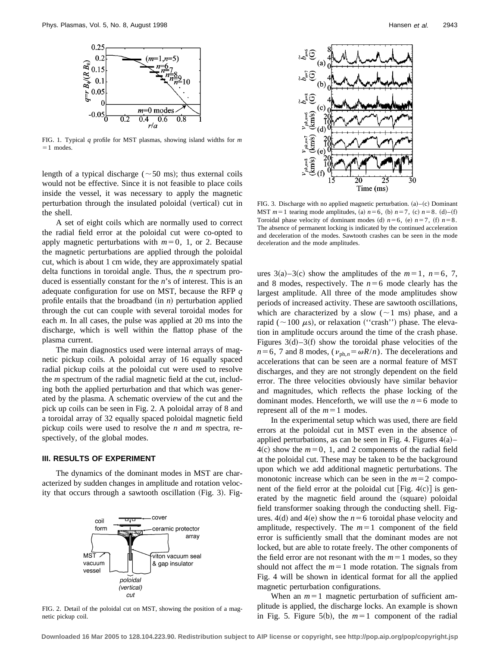

FIG. 1. Typical *q* profile for MST plasmas, showing island widths for *m*  $=1$  modes.

length of a typical discharge ( $\sim$  50 ms); thus external coils would not be effective. Since it is not feasible to place coils inside the vessel, it was necessary to apply the magnetic perturbation through the insulated poloidal (vertical) cut in the shell.

A set of eight coils which are normally used to correct the radial field error at the poloidal cut were co-opted to apply magnetic perturbations with  $m=0$ , 1, or 2. Because the magnetic perturbations are applied through the poloidal cut, which is about 1 cm wide, they are approximately spatial delta functions in toroidal angle. Thus, the *n* spectrum produced is essentially constant for the *n*'s of interest. This is an adequate configuration for use on MST, because the RFP *q* profile entails that the broadband  $(in n)$  perturbation applied through the cut can couple with several toroidal modes for each *m*. In all cases, the pulse was applied at 20 ms into the discharge, which is well within the flattop phase of the plasma current.

The main diagnostics used were internal arrays of magnetic pickup coils. A poloidal array of 16 equally spaced radial pickup coils at the poloidal cut were used to resolve the *m* spectrum of the radial magnetic field at the cut, including both the applied perturbation and that which was generated by the plasma. A schematic overview of the cut and the pick up coils can be seen in Fig. 2. A poloidal array of 8 and a toroidal array of 32 equally spaced poloidal magnetic field pickup coils were used to resolve the *n* and *m* spectra, respectively, of the global modes.

# **III. RESULTS OF EXPERIMENT**

The dynamics of the dominant modes in MST are characterized by sudden changes in amplitude and rotation velocity that occurs through a sawtooth oscillation (Fig. 3). Fig-



FIG. 2. Detail of the poloidal cut on MST, showing the position of a magnetic pickup coil.



FIG. 3. Discharge with no applied magnetic perturbation.  $(a)$ – $(c)$  Dominant MST  $m=1$  tearing mode amplitudes, (a)  $n=6$ , (b)  $n=7$ , (c)  $n=8$ . (d)–(f) Toroidal phase velocity of dominant modes (d)  $n=6$ , (e)  $n=7$ , (f)  $n=8$ . The absence of permanent locking is indicated by the continued acceleration and deceleration of the modes. Sawtooth crashes can be seen in the mode deceleration and the mode amplitudes.

ures  $3(a)-3(c)$  show the amplitudes of the  $m=1$ ,  $n=6, 7$ , and 8 modes, respectively. The  $n=6$  mode clearly has the largest amplitude. All three of the mode amplitudes show periods of increased activity. These are sawtooth oscillations, which are characterized by a slow  $(\sim 1 \text{ ms})$  phase, and a rapid ( $\sim$ 100  $\mu$ s), or relaxation ("crash") phase. The elevation in amplitude occurs around the time of the crash phase. Figures  $3(d)$ –3(f) show the toroidal phase velocities of the  $n=6$ , 7 and 8 modes, ( $v_{\text{ph},n} = \omega R/n$ ). The decelerations and accelerations that can be seen are a normal feature of MST discharges, and they are not strongly dependent on the field error. The three velocities obviously have similar behavior and magnitudes, which reflects the phase locking of the dominant modes. Henceforth, we will use the  $n=6$  mode to represent all of the  $m=1$  modes.

In the experimental setup which was used, there are field errors at the poloidal cut in MST even in the absence of applied perturbations, as can be seen in Fig. 4. Figures  $4(a)$ –  $4(c)$  show the  $m=0, 1$ , and 2 components of the radial field at the poloidal cut. These may be taken to be the background upon which we add additional magnetic perturbations. The monotonic increase which can be seen in the  $m=2$  component of the field error at the poloidal cut  $[Fig. 4(c)]$  is generated by the magnetic field around the (square) poloidal field transformer soaking through the conducting shell. Figures. 4(d) and 4(e) show the  $n=6$  toroidal phase velocity and amplitude, respectively. The  $m=1$  component of the field error is sufficiently small that the dominant modes are not locked, but are able to rotate freely. The other components of the field error are not resonant with the  $m=1$  modes, so they should not affect the  $m=1$  mode rotation. The signals from Fig. 4 will be shown in identical format for all the applied magnetic perturbation configurations.

When an  $m=1$  magnetic perturbation of sufficient amplitude is applied, the discharge locks. An example is shown in Fig. 5. Figure 5(b), the  $m=1$  component of the radial

**Downloaded 16 Mar 2005 to 128.104.223.90. Redistribution subject to AIP license or copyright, see http://pop.aip.org/pop/copyright.jsp**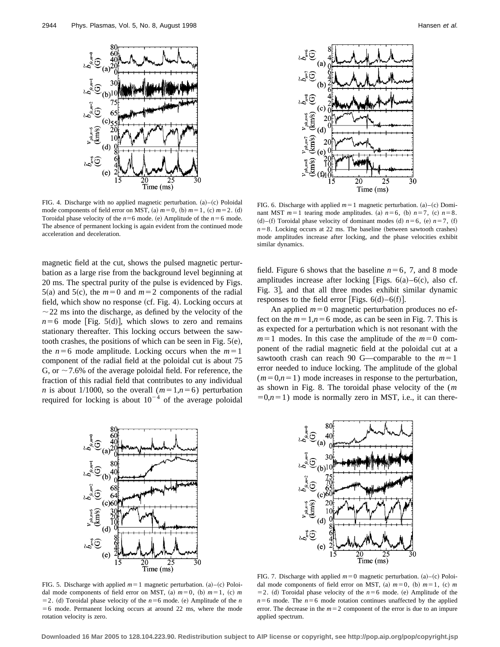

FIG. 4. Discharge with no applied magnetic perturbation.  $(a)$ – $(c)$  Poloidal mode components of field error on MST, (a)  $m=0$ , (b)  $m=1$ , (c)  $m=2$ . (d) Toroidal phase velocity of the  $n=6$  mode. (e) Amplitude of the  $n=6$  mode. The absence of permanent locking is again evident from the continued mode acceleration and deceleration.

magnetic field at the cut, shows the pulsed magnetic perturbation as a large rise from the background level beginning at 20 ms. The spectral purity of the pulse is evidenced by Figs.  $5(a)$  and  $5(c)$ , the  $m=0$  and  $m=2$  components of the radial field, which show no response  $(cf. Fig. 4)$ . Locking occurs at  $\sim$  22 ms into the discharge, as defined by the velocity of the  $n=6$  mode [Fig. 5(d)], which slows to zero and remains stationary thereafter. This locking occurs between the sawtooth crashes, the positions of which can be seen in Fig.  $5(e)$ , the  $n=6$  mode amplitude. Locking occurs when the  $m=1$ component of the radial field at the poloidal cut is about 75 G, or  $\sim$  7.6% of the average poloidal field. For reference, the fraction of this radial field that contributes to any individual *n* is about 1/1000, so the overall  $(m=1,n=6)$  perturbation required for locking is about  $10^{-4}$  of the average poloidal



FIG. 6. Discharge with applied  $m=1$  magnetic perturbation. (a)–(c) Dominant MST  $m=1$  tearing mode amplitudes. (a)  $n=6$ , (b)  $n=7$ , (c)  $n=8$ . (d)–(f) Toroidal phase velocity of dominant modes (d)  $n=6$ , (e)  $n=7$ , (f)  $n=8$ . Locking occurs at 22 ms. The baseline (between sawtooth crashes) mode amplitudes increase after locking, and the phase velocities exhibit similar dynamics.

field. Figure 6 shows that the baseline  $n=6, 7$ , and 8 mode amplitudes increase after locking [Figs.  $6(a) - 6(c)$ , also cf. Fig. 3, and that all three modes exhibit similar dynamic responses to the field error [Figs.  $6(d) - 6(f)$ ].

An applied  $m=0$  magnetic perturbation produces no effect on the  $m=1, n=6$  mode, as can be seen in Fig. 7. This is as expected for a perturbation which is not resonant with the  $m=1$  modes. In this case the amplitude of the  $m=0$  component of the radial magnetic field at the poloidal cut at a sawtooth crash can reach 90 G—comparable to the  $m=1$ error needed to induce locking. The amplitude of the global  $(m=0,n=1)$  mode increases in response to the perturbation, as shown in Fig. 8. The toroidal phase velocity of the (*m*  $=0, n=1$ ) mode is normally zero in MST, i.e., it can there-



FIG. 5. Discharge with applied  $m=1$  magnetic perturbation. (a)–(c) Poloidal mode components of field error on MST, (a)  $m=0$ , (b)  $m=1$ , (c)  $m$  $=$  2. (d) Toroidal phase velocity of the  $n=6$  mode. (e) Amplitude of the *n*  $=6$  mode. Permanent locking occurs at around 22 ms, where the mode rotation velocity is zero.



FIG. 7. Discharge with applied  $m=0$  magnetic perturbation.  $(a)$ – $(c)$  Poloidal mode components of field error on MST, (a)  $m=0$ , (b)  $m=1$ , (c) m  $=$  2. (d) Toroidal phase velocity of the  $n=6$  mode. (e) Amplitude of the  $n=6$  mode. The  $n=6$  mode rotation continues unaffected by the applied error. The decrease in the  $m=2$  component of the error is due to an impure applied spectrum.

**Downloaded 16 Mar 2005 to 128.104.223.90. Redistribution subject to AIP license or copyright, see http://pop.aip.org/pop/copyright.jsp**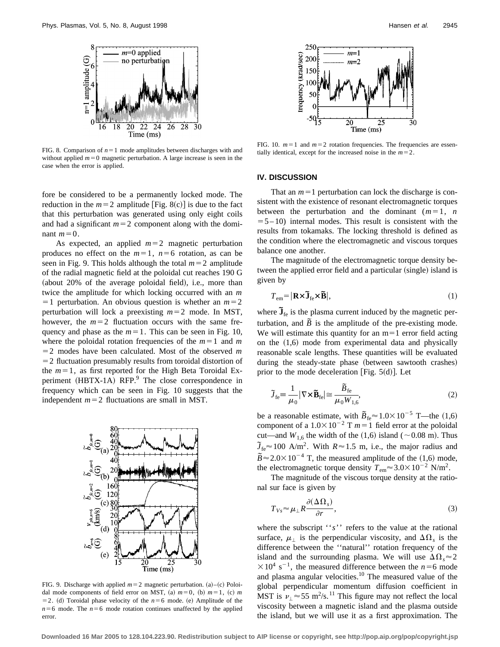

FIG. 8. Comparison of  $n=1$  mode amplitudes between discharges with and without applied  $m=0$  magnetic perturbation. A large increase is seen in the case when the error is applied.

fore be considered to be a permanently locked mode. The reduction in the  $m=2$  amplitude [Fig. 8(c)] is due to the fact that this perturbation was generated using only eight coils and had a significant  $m=2$  component along with the dominant  $m=0$ .

As expected, an applied  $m=2$  magnetic perturbation produces no effect on the  $m=1$ ,  $n=6$  rotation, as can be seen in Fig. 9. This holds although the total  $m=2$  amplitude of the radial magnetic field at the poloidal cut reaches 190 G (about  $20\%$  of the average poloidal field), i.e., more than twice the amplitude for which locking occurred with an *m*  $=$  1 perturbation. An obvious question is whether an  $m=2$ perturbation will lock a preexisting  $m=2$  mode. In MST, however, the  $m=2$  fluctuation occurs with the same frequency and phase as the  $m=1$ . This can be seen in Fig. 10, where the poloidal rotation frequencies of the  $m=1$  and  $m$  $=$  2 modes have been calculated. Most of the observed *m*  $=$  2 fluctuation presumably results from toroidal distortion of the  $m=1$ , as first reported for the High Beta Toroidal Experiment  $(HBTX-1A)$  RFP. $9$  The close correspondence in frequency which can be seen in Fig. 10 suggests that the independent  $m=2$  fluctuations are small in MST.



FIG. 9. Discharge with applied  $m=2$  magnetic perturbation. (a)–(c) Poloidal mode components of field error on MST, (a)  $m=0$ , (b)  $m=1$ , (c)  $m$  $=$  2. (d) Toroidal phase velocity of the  $n=6$  mode. (e) Amplitude of the  $n=6$  mode. The  $n=6$  mode rotation continues unaffected by the applied error.



FIG. 10.  $m=1$  and  $m=2$  rotation frequencies. The frequencies are essentially identical, except for the increased noise in the  $m=2$ .

#### **IV. DISCUSSION**

That an  $m=1$  perturbation can lock the discharge is consistent with the existence of resonant electromagnetic torques between the perturbation and the dominant  $(m=1, n)$  $= 5 - 10$ ) internal modes. This result is consistent with the results from tokamaks. The locking threshold is defined as the condition where the electromagnetic and viscous torques balance one another.

The magnitude of the electromagnetic torque density between the applied error field and a particular (single) island is given by

$$
T_{\rm em} = |\mathbf{R} \times \tilde{\mathbf{J}}_{\rm fe} \times \tilde{\mathbf{B}}|,\tag{1}
$$

where  $\tilde{\mathbf{J}}_{\text{fe}}$  is the plasma current induced by the magnetic perturbation, and  $\tilde{B}$  is the amplitude of the pre-existing mode. We will estimate this quantity for an  $m=1$  error field acting on the  $(1,6)$  mode from experimental data and physically reasonable scale lengths. These quantities will be evaluated during the steady-state phase (between sawtooth crashes) prior to the mode deceleration [Fig.  $5(d)$ ]. Let

$$
\widetilde{J}_{\text{fe}} = \frac{1}{\mu_0} |\nabla \times \widetilde{\mathbf{B}}_{\text{fe}}| \approx \frac{\widetilde{B}_{\text{fe}}}{\mu_0 W_{1,6}},\tag{2}
$$

be a reasonable estimate, with  $\tilde{B}_{fe} \approx 1.0 \times 10^{-5}$  T—the (1,6) component of a  $1.0 \times 10^{-2}$  T  $m=1$  field error at the poloidal cut—and  $W_{1,6}$  the width of the (1,6) island ( $\sim$ 0.08 m). Thus  $\tilde{J}_{\text{fe}} \approx 100 \text{ A/m}^2$ . With  $R \approx 1.5 \text{ m}$ , i.e., the major radius and  $\tilde{B} \approx 2.0 \times 10^{-4}$  T, the measured amplitude of the  $(1,6)$  mode, the electromagnetic torque density  $T_{\text{em}} \approx 3.0 \times 10^{-2} \text{ N/m}^2$ .

The magnitude of the viscous torque density at the rational sur face is given by

$$
T_{Vs} \approx \mu_{\perp} R \frac{\partial (\Delta \Omega_s)}{\partial r}, \qquad (3)
$$

where the subscript ''*s*'' refers to the value at the rational surface,  $\mu_{\perp}$  is the perpendicular viscosity, and  $\Delta\Omega_{s}$  is the difference between the ''natural'' rotation frequency of the island and the surrounding plasma. We will use  $\Delta\Omega_s \approx 2$  $\times 10^4$  s<sup>-1</sup>, the measured difference between the *n*=6 mode and plasma angular velocities.<sup>10</sup> The measured value of the global perpendicular momentum diffusion coefficient in MST is  $v_1 \approx 55$  m<sup>2</sup>/s.<sup>11</sup> This figure may not reflect the local viscosity between a magnetic island and the plasma outside the island, but we will use it as a first approximation. The

**Downloaded 16 Mar 2005 to 128.104.223.90. Redistribution subject to AIP license or copyright, see http://pop.aip.org/pop/copyright.jsp**